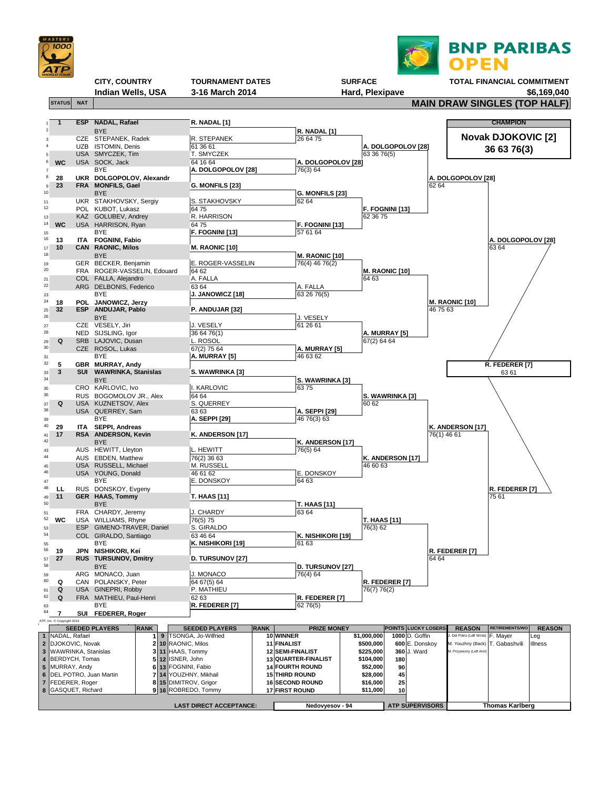



**Indian Wells, USA 3-16 March 2014 <b>Hard, Plexipave 41 March 2014 Hard, Plexipave \$6,169,040** 

## **CITY, COUNTRY** TOURNAMENT DATES SURFACE TOTAL FINANCIAL COMMITMENT<br>Indian Wells, USA 3-16 March 2014 Hard, Plexipave 1997 Hard, 2014

**STATUS** NAT NAT  $\left| \begin{array}{c} \text{STATUS} & \text{NAIN DRAW SINGLES (TOP HALF)} \end{array} \right|$ 

|          |                                      |                          | <b>ESP</b> NADAL, Rafael                        |             | R. NADAL [1]                               |             |             |                                                 |                          |                                  |             |                                                  | <b>CHAMPION</b>           |                       |
|----------|--------------------------------------|--------------------------|-------------------------------------------------|-------------|--------------------------------------------|-------------|-------------|-------------------------------------------------|--------------------------|----------------------------------|-------------|--------------------------------------------------|---------------------------|-----------------------|
|          |                                      |                          | <b>BYE</b>                                      |             |                                            |             |             | R. NADAL [1]                                    |                          |                                  |             |                                                  |                           |                       |
|          |                                      | <b>UZB</b>               | CZE STEPANEK, Radek<br><b>ISTOMIN, Denis</b>    |             | R. STEPANEK<br>61 36 61                    |             |             | 26 64 75                                        |                          | <b>A. DOLGOPOLOV [28]</b>        |             |                                                  | <b>Novak DJOKOVIC [2]</b> |                       |
|          |                                      |                          | USA SMYCZEK, Tim                                |             | T. SMYCZEK                                 |             |             |                                                 | 633676(5)                |                                  |             |                                                  | 36 63 76(3)               |                       |
| 6        | <b>WC</b>                            |                          | USA SOCK, Jack                                  |             | 64 16 64                                   |             |             | A. DOLGOPOLOV [28]                              |                          |                                  |             |                                                  |                           |                       |
|          |                                      |                          | <b>BYE</b>                                      |             | A. DOLGOPOLOV [28]                         |             |             | 76(3) 64                                        |                          |                                  |             |                                                  |                           |                       |
|          | 28                                   |                          | UKR DOLGOPOLOV, Alexandr                        |             |                                            |             |             |                                                 |                          |                                  |             | A. DOLGOPOLOV [28]                               |                           |                       |
| 9<br>10  | 23                                   |                          | FRA MONFILS, Gael<br><b>BYE</b>                 |             | G. MONFILS [23]                            |             |             | <b>G. MONFILS [23]</b>                          |                          |                                  | 62 64       |                                                  |                           |                       |
| 11       |                                      |                          | UKR STAKHOVSKY, Sergiy                          |             | S. STAKHOVSKY                              |             |             | 62 64                                           |                          |                                  |             |                                                  |                           |                       |
| 12       |                                      |                          | POL KUBOT, Lukasz                               |             | 64 75                                      |             |             |                                                 |                          | <b>F. FOGNINI [13]</b>           |             |                                                  |                           |                       |
| 13<br>14 |                                      |                          | KAZ GOLUBEV, Andrey                             |             | R. HARRISON                                |             |             |                                                 | 62 36 75                 |                                  |             |                                                  |                           |                       |
| 15       | <b>WC</b>                            |                          | USA HARRISON, Ryan<br><b>BYE</b>                |             | 6475<br><b>F. FOGNINI [13]</b>             |             |             | <b>F. FOGNINI [13]</b><br>57 61 64              |                          |                                  |             |                                                  |                           |                       |
| 16       | 13                                   |                          | ITA FOGNINI, Fabio                              |             |                                            |             |             |                                                 |                          |                                  |             |                                                  | A. DOLGOPOLOV [28]        |                       |
| 17       | 10                                   |                          | <b>CAN RAONIC, Milos</b>                        |             | <b>M. RAONIC [10]</b>                      |             |             |                                                 |                          |                                  |             |                                                  | 63 64                     |                       |
| 18       |                                      |                          | <b>BYE</b>                                      |             |                                            |             |             | <b>M. RAONIC [10]</b>                           |                          |                                  |             |                                                  |                           |                       |
| 19<br>20 |                                      | <b>FRA</b>               | GER BECKER, Benjamin<br>ROGER-VASSELIN, Edouard |             | E. ROGER-VASSELIN<br>64 62                 |             |             | 76(4) 46 76(2)                                  |                          | <b>M. RAONIC [10]</b>            |             |                                                  |                           |                       |
| 21       |                                      |                          | COL FALLA, Alejandro                            |             | A. FALLA                                   |             |             |                                                 | 64 63                    |                                  |             |                                                  |                           |                       |
| 22       |                                      |                          | ARG DELBONIS, Federico                          |             | 63 64                                      |             |             | A. FALLA                                        |                          |                                  |             |                                                  |                           |                       |
| 23       |                                      |                          | <b>BYE</b>                                      |             | J. JANOWICZ [18]                           |             |             | 63 26 76(5)                                     |                          |                                  |             |                                                  |                           |                       |
| 24       | 18<br>32                             | <b>ESP</b>               | POL JANOWICZ, Jerzy<br><b>ANDUJAR, Pablo</b>    |             | P. ANDUJAR [32]                            |             |             |                                                 |                          |                                  | 46 75 63    | M. RAONIC [10]                                   |                           |                       |
| 25<br>26 |                                      |                          | <b>BYE</b>                                      |             |                                            |             |             | J. VESELY                                       |                          |                                  |             |                                                  |                           |                       |
| 27       |                                      |                          | CZE VESELY, Jiri                                |             | J. VESELY                                  |             |             | 61 26 61                                        |                          |                                  |             |                                                  |                           |                       |
| 28       |                                      | NED                      | SIJSLING, Igor                                  |             | 36 64 76(1)                                |             |             |                                                 | A. MURRAY [5]            |                                  |             |                                                  |                           |                       |
| 29<br>30 | Q                                    | <b>SRB</b><br><b>CZE</b> | LAJOVIC, Dusan                                  |             | L. ROSOL<br>67(2) 75 64                    |             |             | A. MURRAY [5]                                   | 67(2) 64 64              |                                  |             |                                                  |                           |                       |
| 31       |                                      |                          | ROSOL, Lukas<br><b>BYE</b>                      |             | A. MURRAY [5]                              |             |             | 46 63 62                                        |                          |                                  |             |                                                  |                           |                       |
| 32       | 5                                    |                          | <b>GBR MURRAY, Andy</b>                         |             |                                            |             |             |                                                 |                          |                                  |             |                                                  | R. FEDERER [7]            |                       |
| 33       | $\mathbf{3}$                         | <b>SUI</b>               | <b>WAWRINKA, Stanislas</b>                      |             | S. WAWRINKA [3]                            |             |             |                                                 |                          |                                  |             |                                                  | 63 61                     |                       |
| 34       |                                      |                          | <b>BYE</b><br>CRO KARLOVIC, Ivo                 |             | I. KARLOVIC                                |             |             | S. WAWRINKA [3]<br>6375                         |                          |                                  |             |                                                  |                           |                       |
| 35<br>36 |                                      |                          | RUS BOGOMOLOV JR., Alex                         |             | 64 64                                      |             |             |                                                 |                          | S. WAWRINKA [3]                  |             |                                                  |                           |                       |
| 37       | Q                                    |                          | USA KUZNETSOV, Alex                             |             | S. QUERREY                                 |             |             |                                                 | 60 62                    |                                  |             |                                                  |                           |                       |
| 38       |                                      |                          | USA QUERREY, Sam                                |             | 63 63                                      |             |             | A. SEPPI [29]                                   |                          |                                  |             |                                                  |                           |                       |
| 39<br>40 | 29                                   |                          | <b>BYE</b><br>ITA SEPPI, Andreas                |             | A. SEPPI [29]                              |             |             | 46 76(3) 63                                     |                          |                                  |             | K. ANDERSON [17]                                 |                           |                       |
| 41       | 17                                   |                          | <b>RSA ANDERSON, Kevin</b>                      |             | K. ANDERSON [17]                           |             |             |                                                 |                          |                                  | 76(1) 46 61 |                                                  |                           |                       |
| 42       |                                      |                          | <b>BYE</b>                                      |             |                                            |             |             | <b>K. ANDERSON [17]</b>                         |                          |                                  |             |                                                  |                           |                       |
| 43       |                                      |                          | AUS HEWITT, Lleyton                             |             | L. HEWITT                                  |             |             | 76(5) 64                                        |                          |                                  |             |                                                  |                           |                       |
| 44       |                                      |                          | AUS EBDEN, Matthew<br>USA RUSSELL, Michael      |             | 76(2) 36 63<br>M. RUSSELL                  |             |             |                                                 | 46 60 63                 | <b>K. ANDERSON [17]</b>          |             |                                                  |                           |                       |
| 45<br>46 |                                      |                          | USA YOUNG, Donald                               |             | 46 61 62                                   |             |             | E. DONSKOY                                      |                          |                                  |             |                                                  |                           |                       |
| 47       |                                      |                          | <b>BYE</b>                                      |             | E. DONSKOY                                 |             |             | 64 63                                           |                          |                                  |             |                                                  |                           |                       |
| 48       | <u>LL</u>                            |                          | RUS DONSKOY, Evgeny                             |             |                                            |             |             |                                                 |                          |                                  |             |                                                  | R. FEDERER [7]            |                       |
| 49<br>50 | 11                                   |                          | <b>GER HAAS, Tommy</b><br><b>BYE</b>            |             | <b>T. HAAS [11]</b>                        |             |             | <b>T. HAAS [11]</b>                             |                          |                                  |             |                                                  | 75 61                     |                       |
| 51       |                                      |                          | FRA CHARDY, Jeremy                              |             | <b>J. CHARDY</b>                           |             |             | 63 64                                           |                          |                                  |             |                                                  |                           |                       |
| 52       | <b>WC</b>                            |                          | USA WILLIAMS, Rhyne                             |             | 76(5) 75                                   |             |             |                                                 | <b>T. HAAS [11]</b>      |                                  |             |                                                  |                           |                       |
| 53<br>54 |                                      |                          | ESP GIMENO-TRAVER, Daniel                       |             | S. GIRALDO<br>63 46 64                     |             |             |                                                 | 76(3) 62                 |                                  |             |                                                  |                           |                       |
| 55       |                                      |                          | COL GIRALDO, Santiago<br><b>BYE</b>             |             | K. NISHIKORI [19]                          |             |             | K. NISHIKORI [19]<br>61 63                      |                          |                                  |             |                                                  |                           |                       |
| 56       | 19                                   |                          | JPN NISHIKORI, Kei                              |             |                                            |             |             |                                                 |                          |                                  |             | R. FEDERER [7]                                   |                           |                       |
| 57       | 27                                   |                          | <b>RUS TURSUNOV, Dmitry</b>                     |             | <b>D. TURSUNOV [27]</b>                    |             |             |                                                 |                          |                                  | 64 64       |                                                  |                           |                       |
| 58       |                                      |                          | <b>BYE</b><br>ARG MONACO, Juan                  |             | J. MONACO                                  |             |             | <b>D. TURSUNOV [27]</b><br>76(4) 64             |                          |                                  |             |                                                  |                           |                       |
| 59<br>60 | Q                                    |                          | CAN POLANSKY, Peter                             |             | 64 67(5) 64                                |             |             |                                                 |                          | R. FEDERER [7]                   |             |                                                  |                           |                       |
| 61       | Q                                    |                          | USA GINEPRI, Robby                              |             | P. MATHIEU                                 |             |             |                                                 | 76(7) 76(2)              |                                  |             |                                                  |                           |                       |
| 62       | Q                                    |                          | FRA MATHIEU, Paul-Henri                         |             | 62 63                                      |             |             | R. FEDERER [7]                                  |                          |                                  |             |                                                  |                           |                       |
| 63<br>64 | 7                                    | SUI                      | <b>BYE</b><br><b>FEDERER, Roger</b>             |             | R. FEDERER [7]                             |             |             | 62 76(5)                                        |                          |                                  |             |                                                  |                           |                       |
|          | ATP, Inc. © Copyright 2014           |                          |                                                 |             |                                            |             |             |                                                 |                          |                                  |             |                                                  |                           |                       |
|          |                                      |                          | <b>SEEDED PLAYERS</b>                           | <b>RANK</b> | <b>SEEDED PLAYERS</b>                      | <b>RANK</b> | 10 WINNER   | <b>PRIZE MONEY</b>                              |                          | <b>POINTS LUCKY LOSERS</b>       |             | <b>REASON</b><br>Del Potro (Left Wrist) F. Mayer | <b>RETIREMENTS/WO</b>     | <b>REASON</b>         |
|          | 1 NADAL, Rafael<br>2 DJOKOVIC, Novak |                          |                                                 |             | 9 TSONGA, Jo-Wilfried<br>10 RAONIC, Milos  |             | 11 FINALIST |                                                 | \$1,000,000<br>\$500,000 | 1000 D. Goffin<br>600 E. Donskoy |             | M. Youzhny (Back)   T. Gabashvili                |                           | Leg<br><b>Illness</b> |
|          | 3 WAWRINKA, Stanislas                |                          |                                                 |             | $3$ 11 HAAS, Tommy                         |             |             | 12 SEMI-FINALIST                                | \$225,000                | 360 J. Ward                      |             | M. Przysiezny (Left Arm)                         |                           |                       |
|          | 4   BERDYCH, Tomas                   |                          |                                                 |             | 5 12 ISNER, John                           |             |             | 13 QUARTER-FINALIST                             | \$104,000                | 180                              |             |                                                  |                           |                       |
|          | 5 MURRAY, Andy                       |                          | 6 DEL POTRO, Juan Martin                        |             | 6 13 FOGNINI, Fabio<br>14 YOUZHNY, Mikhail |             |             | <b>14 FOURTH ROUND</b><br><b>15 THIRD ROUND</b> | \$52,000<br>\$28,000     | 90<br>45                         |             |                                                  |                           |                       |
|          | 7 FEDERER, Roger                     |                          |                                                 |             | 8 15 DIMITROV, Grigor                      |             |             | <b>16 SECOND ROUND</b>                          | \$16,000                 | 25                               |             |                                                  |                           |                       |
|          | 8 GASQUET, Richard                   |                          |                                                 |             | 9 16 ROBREDO, Tommy                        |             |             | <b>17 FIRST ROUND</b>                           | \$11,000                 | 10                               |             |                                                  |                           |                       |
|          |                                      |                          |                                                 |             | <b>LAST DIRECT ACCEPTANCE:</b>             |             |             | Nedovyesov - 94                                 |                          | <b>ATP SUPERVISORS</b>           |             |                                                  | <b>Thomas Karlberg</b>    |                       |
|          |                                      |                          |                                                 |             |                                            |             |             |                                                 |                          |                                  |             |                                                  |                           |                       |